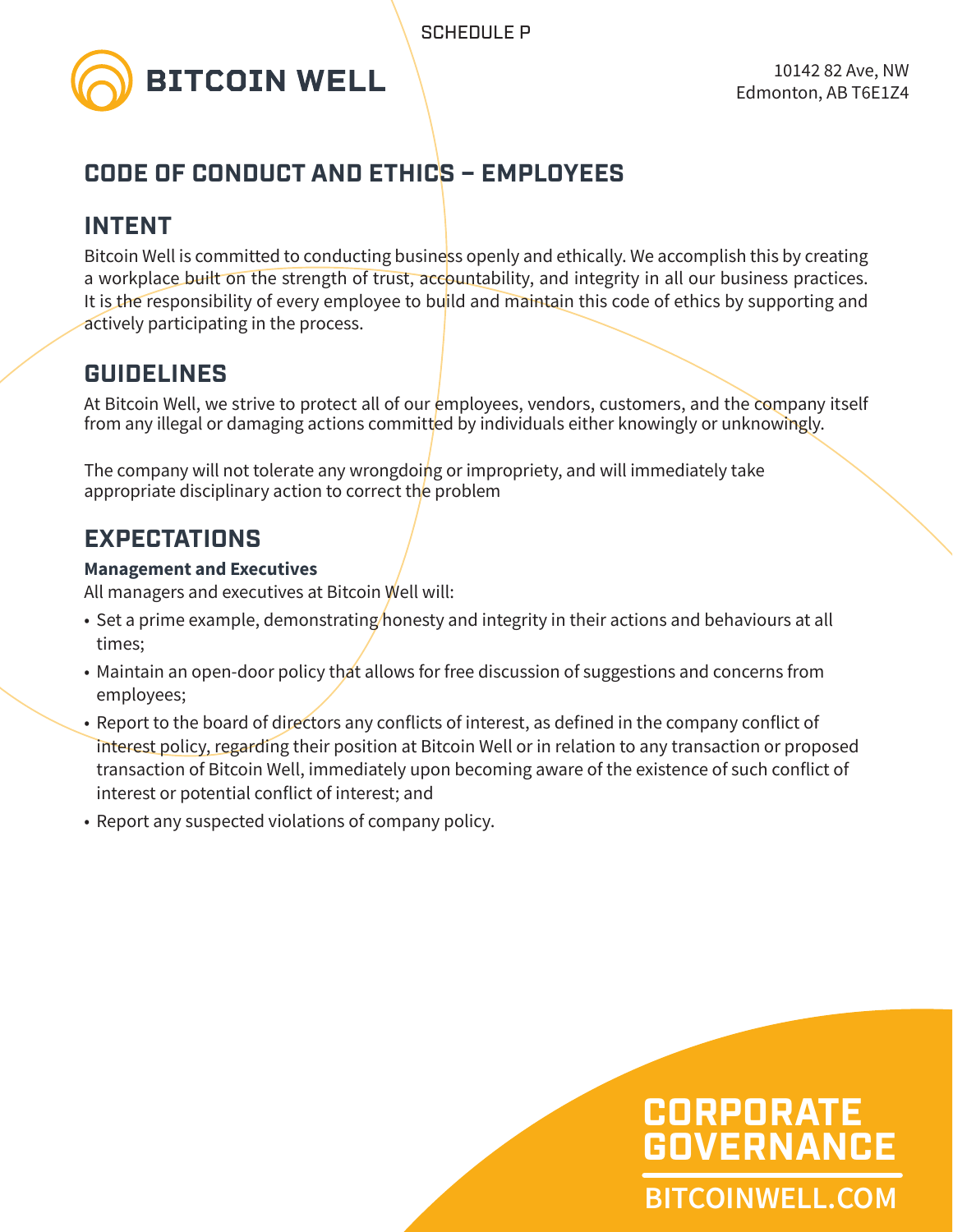

# **CODE OF CONDUCT AND ETHICS – EMPLOYEES**

### **INTENT**

Bitcoin Well is committed to conducting business openly and ethically. We accomplish this by creating a workplace built on the strength of trust, accountability, and integrity in all our business practices. It is the responsibility of every employee to build and maintain this code of ethics by supporting and actively participating in the process.

## **GUIDELINES**

At Bitcoin Well, we strive to protect all of our employees, vendors, customers, and the company itself from any illegal or damaging actions committed by individuals either knowingly or unknowingly.

The company will not tolerate any wrongdoing or impropriety, and will immediately take appropriate disciplinary action to correct the problem

# **EXPECTATIONS**

#### **Management and Executives**

All managers and executives at Bitcoin Well will:

- Set a prime example, demonstrating/honesty and integrity in their actions and behaviours at all times;
- Maintain an open-door policy that allows for free discussion of suggestions and concerns from employees;
- Report to the board of directors any conflicts of interest, as defined in the company conflict of interest policy, regarding their position at Bitcoin Well or in relation to any transaction or proposed transaction of Bitcoin Well, immediately upon becoming aware of the existence of such conflict of interest or potential conflict of interest; and
- Report any suspected violations of company policy.